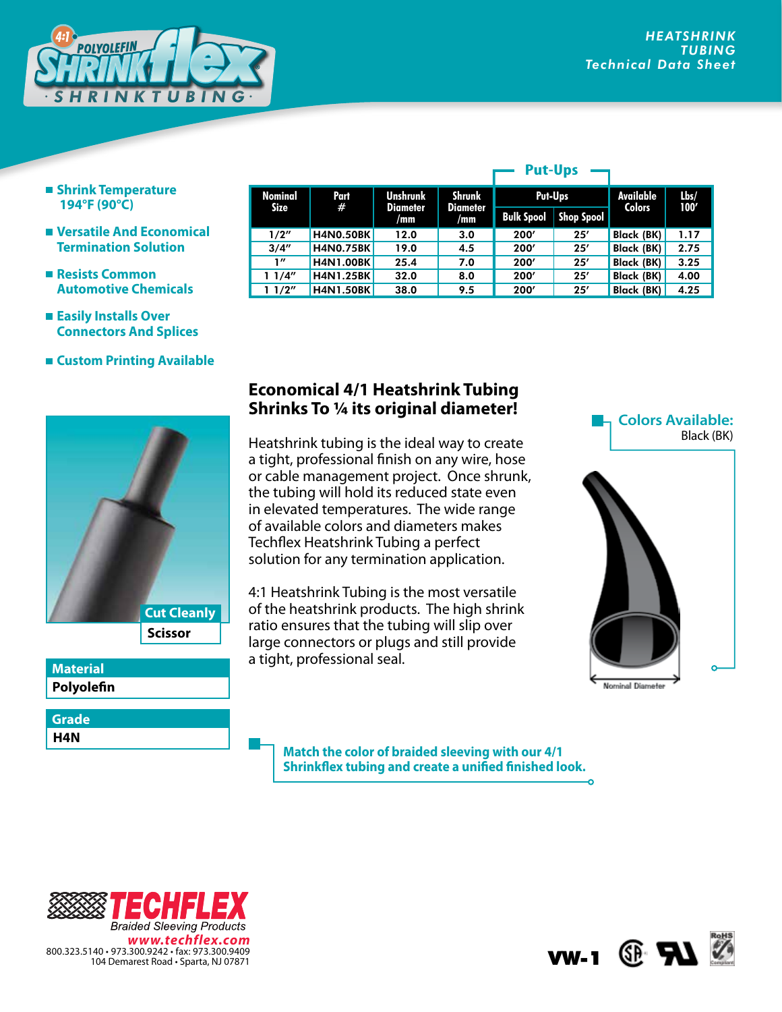

- **Shrink Temperature 194°F (90°C)**
- **Versatile And Economical Termination Solution**
- **Resists Common Automotive Chemicals**
- **Easily Installs Over Connectors And Splices**
- **Custom Printing Available**



**Polyolefin Material**

**H4N Grade**

| <b>Nominal</b> | Part<br>#        | <b>Unshrunk</b><br><b>Diameter</b><br>/mm | Shrunk<br><b>Diameter</b><br>/mm | Put-Ups           |            | Available<br><b>Colors</b> | $l$ <sub>bs</sub> $/$<br>100' |
|----------------|------------------|-------------------------------------------|----------------------------------|-------------------|------------|----------------------------|-------------------------------|
| Size           |                  |                                           |                                  | <b>Bulk Spool</b> | Shop Spool |                            |                               |
| 1/2"           | <b>H4N0.50BK</b> | 12.0                                      | 3.0                              | 200'              | 25'        | <b>Black (BK)</b>          | 1.17                          |
| 3/4''          | <b>H4N0.75BK</b> | 19.0                                      | 4.5                              | 200'              | 25'        | <b>Black (BK)</b>          | 2.75                          |
| 1''            | <b>H4N1.00BK</b> | 25.4                                      | 7.0                              | 200'              | 25'        | Black (BK)                 | 3.25                          |
| 11/4"          | <b>H4N1.25BK</b> | 32.0                                      | 8.0                              | 200'              | 25'        | Black (BK)                 | 4.00                          |
| 11/2"          | <b>H4N1.50BK</b> | 38.0                                      | 9.5                              | 200'              | 25'        | Black (BK)                 | 4.25                          |

**Put-Ups**

## **Economical 4/1 Heatshrink Tubing Shrinks To 1/4 its original diameter!**

Heatshrink tubing is the ideal way to create a tight, professional finish on any wire, hose or cable management project. Once shrunk, the tubing will hold its reduced state even in elevated temperatures. The wide range of available colors and diameters makes Techflex Heatshrink Tubing a perfect solution for any termination application.

4:1 Heatshrink Tubing is the most versatile of the heatshrink products. The high shrink ratio ensures that the tubing will slip over large connectors or plugs and still provide a tight, professional seal.

**Colors Available:** Black (BK)



**Match the color of braided sleeving with our 4/1 Shrinkflex tubing and create a unified finished look.**